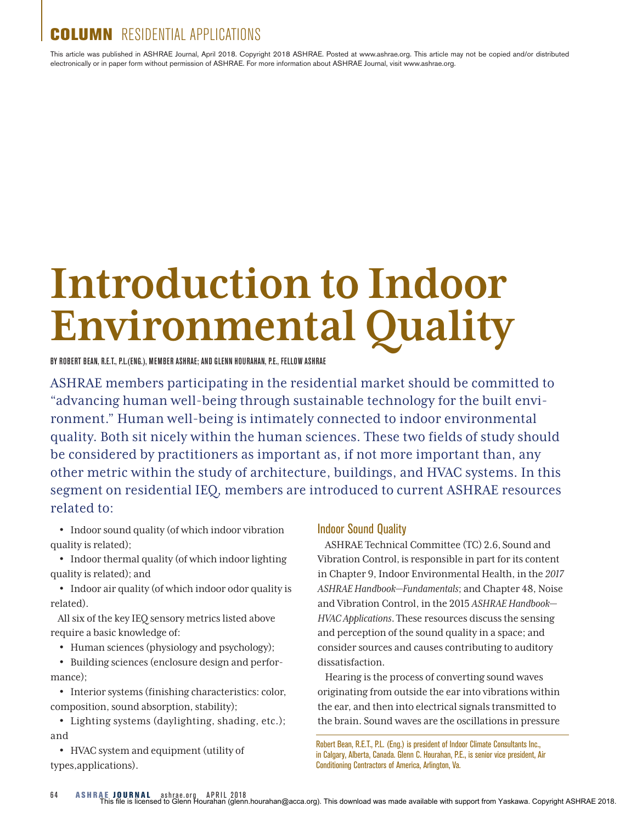# LUMN RESIDENTIAL APPLICATIONS

This article was published in ASHRAE Journal, April 2018. Copyright 2018 ASHRAE. Posted at www.ashrae.org. This article may not be copied and/or distributed electronically or in paper form without permission of ASHRAE. For more information about ASHRAE Journal, visit www.ashrae.org.

# **Introduction to Indoor Environmental Quality**

BY ROBERT BEAN, R.E.T., P.L.(ENG.), MEMBER ASHRAE; AND GLENN HOURAHAN, P.E., FELLOW ASHRAE

ASHRAE members participating in the residential market should be committed to "advancing human well-being through sustainable technology for the built environment." Human well-being is intimately connected to indoor environmental quality. Both sit nicely within the human sciences. These two fields of study should be considered by practitioners as important as, if not more important than, any other metric within the study of architecture, buildings, and HVAC systems. In this segment on residential IEQ, members are introduced to current ASHRAE resources related to:

• Indoor sound quality (of which indoor vibration quality is related);

• Indoor thermal quality (of which indoor lighting quality is related); and

• Indoor air quality (of which indoor odor quality is related).

All six of the key IEQ sensory metrics listed above require a basic knowledge of:

• Human sciences (physiology and psychology);

• Building sciences (enclosure design and performance);

• Interior systems (finishing characteristics: color, composition, sound absorption, stability);

• Lighting systems (daylighting, shading, etc.); and

• HVAC system and equipment (utility of types,applications).

#### Indoor Sound Quality

ASHRAE Technical Committee (TC) 2.6, Sound and Vibration Control, is responsible in part for its content in Chapter 9, Indoor Environmental Health, in the *2017 ASHRAE Handbook—Fundamentals*; and Chapter 48, Noise and Vibration Control, in the 2015 *ASHRAE Handbook— HVAC Applications*.These resources discuss the sensing and perception of the sound quality in a space; and consider sources and causes contributing to auditory dissatisfaction.

Hearing is the process of converting sound waves originating from outside the ear into vibrations within the ear, and then into electrical signals transmitted to the brain. Sound waves are the oscillations in pressure

Robert Bean, R.E.T., P.L. (Eng.) is president of Indoor Climate Consultants Inc., in Calgary, Alberta, Canada. Glenn C. Hourahan, P.E., is senior vice president, Air Conditioning Contractors of America, Arlington, Va.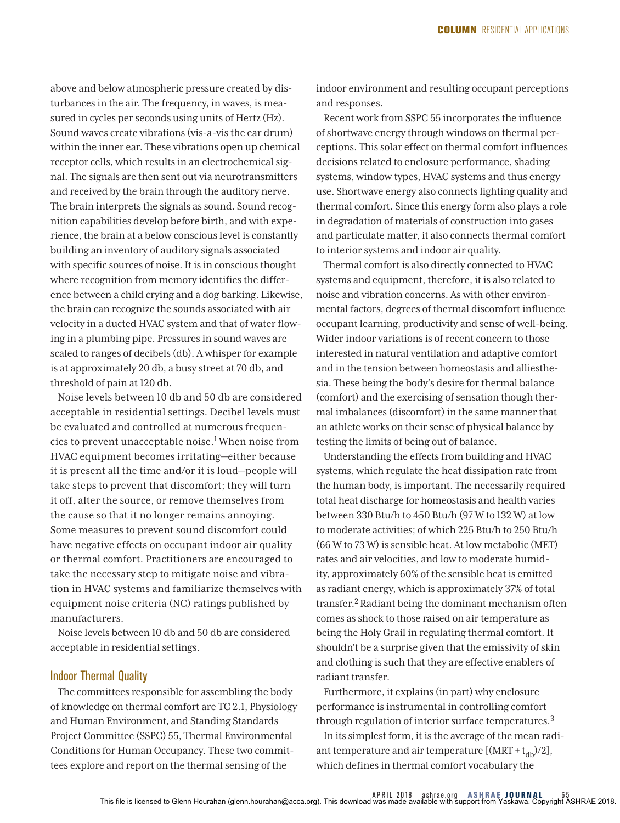above and below atmospheric pressure created by disturbances in the air. The frequency, in waves, is measured in cycles per seconds using units of Hertz (Hz). Sound waves create vibrations (vis-a-vis the ear drum) within the inner ear. These vibrations open up chemical receptor cells, which results in an electrochemical signal. The signals are then sent out via neurotransmitters and received by the brain through the auditory nerve. The brain interprets the signals as sound. Sound recognition capabilities develop before birth, and with experience, the brain at a below conscious level is constantly building an inventory of auditory signals associated with specific sources of noise. It is in conscious thought where recognition from memory identifies the difference between a child crying and a dog barking. Likewise, the brain can recognize the sounds associated with air velocity in a ducted HVAC system and that of water flowing in a plumbing pipe. Pressures in sound waves are scaled to ranges of decibels (db). A whisper for example is at approximately 20 db, a busy street at 70 db, and threshold of pain at 120 db.

Noise levels between 10 db and 50 db are considered acceptable in residential settings. Decibel levels must be evaluated and controlled at numerous frequencies to prevent unacceptable noise.1 When noise from HVAC equipment becomes irritating—either because it is present all the time and/or it is loud—people will take steps to prevent that discomfort; they will turn it off, alter the source, or remove themselves from the cause so that it no longer remains annoying. Some measures to prevent sound discomfort could have negative effects on occupant indoor air quality or thermal comfort. Practitioners are encouraged to take the necessary step to mitigate noise and vibration in HVAC systems and familiarize themselves with equipment noise criteria (NC) ratings published by manufacturers.

Noise levels between 10 db and 50 db are considered acceptable in residential settings.

## Indoor Thermal Quality

The committees responsible for assembling the body of knowledge on thermal comfort are TC 2.1, Physiology and Human Environment*,* and Standing Standards Project Committee (SSPC) 55, Thermal Environmental Conditions for Human Occupancy*.* These two committees explore and report on the thermal sensing of the

indoor environment and resulting occupant perceptions and responses.

Recent work from SSPC 55 incorporates the influence of shortwave energy through windows on thermal perceptions. This solar effect on thermal comfort influences decisions related to enclosure performance, shading systems, window types, HVAC systems and thus energy use. Shortwave energy also connects lighting quality and thermal comfort. Since this energy form also plays a role in degradation of materials of construction into gases and particulate matter, it also connects thermal comfort to interior systems and indoor air quality.

Thermal comfort is also directly connected to HVAC systems and equipment, therefore, it is also related to noise and vibration concerns. As with other environmental factors, degrees of thermal discomfort influence occupant learning, productivity and sense of well-being. Wider indoor variations is of recent concern to those interested in natural ventilation and adaptive comfort and in the tension between homeostasis and alliesthesia. These being the body's desire for thermal balance (comfort) and the exercising of sensation though thermal imbalances (discomfort) in the same manner that an athlete works on their sense of physical balance by testing the limits of being out of balance.

Understanding the effects from building and HVAC systems, which regulate the heat dissipation rate from the human body, is important. The necessarily required total heat discharge for homeostasis and health varies between 330 Btu/h to 450 Btu/h (97 W to 132 W) at low to moderate activities; of which 225 Btu/h to 250 Btu/h (66 W to 73 W) is sensible heat. At low metabolic (MET) rates and air velocities, and low to moderate humidity, approximately 60% of the sensible heat is emitted as radiant energy, which is approximately 37% of total transfer.2 Radiant being the dominant mechanism often comes as shock to those raised on air temperature as being the Holy Grail in regulating thermal comfort. It shouldn't be a surprise given that the emissivity of skin and clothing is such that they are effective enablers of radiant transfer.

Furthermore, it explains (in part) why enclosure performance is instrumental in controlling comfort through regulation of interior surface temperatures.<sup>3</sup> In its simplest form, it is the average of the mean radiant temperature and air temperature  $[(\text{MRT} + t_{db})/2]$ , which defines in thermal comfort vocabulary the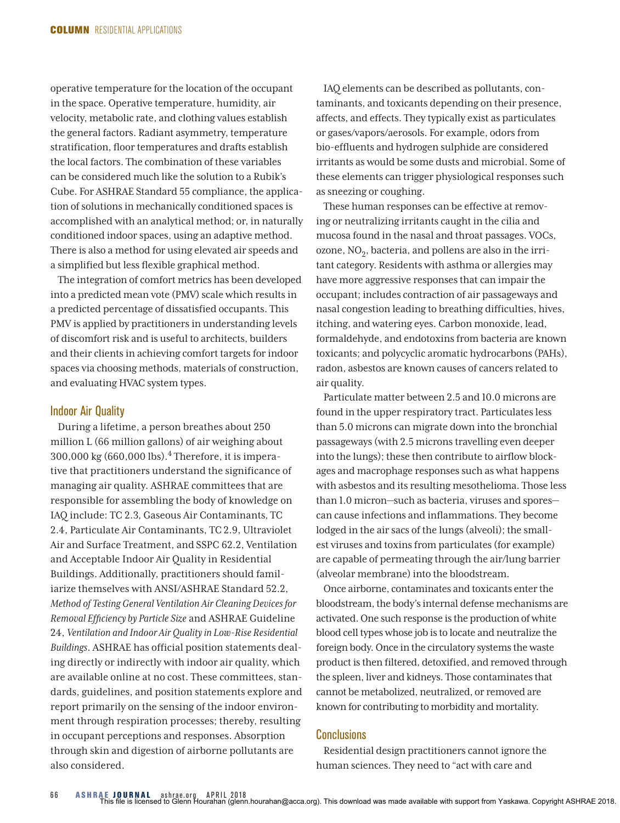operative temperature for the location of the occupant in the space. Operative temperature, humidity, air velocity, metabolic rate, and clothing values establish the general factors. Radiant asymmetry, temperature stratification, floor temperatures and drafts establish the local factors. The combination of these variables can be considered much like the solution to a Rubik's Cube. For ASHRAE Standard 55 compliance, the application of solutions in mechanically conditioned spaces is accomplished with an analytical method; or, in naturally conditioned indoor spaces, using an adaptive method. There is also a method for using elevated air speeds and a simplified but less flexible graphical method.

The integration of comfort metrics has been developed into a predicted mean vote (PMV) scale which results in a predicted percentage of dissatisfied occupants. This PMV is applied by practitioners in understanding levels of discomfort risk and is useful to architects, builders and their clients in achieving comfort targets for indoor spaces via choosing methods, materials of construction, and evaluating HVAC system types.

#### Indoor Air Quality

During a lifetime, a person breathes about 250 million L (66 million gallons) of air weighing about 300,000 kg (660,000 lbs).4 Therefore, it is imperative that practitioners understand the significance of managing air quality. ASHRAE committees that are responsible for assembling the body of knowledge on IAQ include: TC 2.3*,* Gaseous Air Contaminants*,* TC 2.4, Particulate Air Contaminants, TC 2.9, Ultraviolet Air and Surface Treatment, and SSPC 62.2, Ventilation and Acceptable Indoor Air Quality in Residential Buildings. Additionally, practitioners should familiarize themselves with ANSI/ASHRAE Standard 52.2, *Method of Testing General Ventilation Air Cleaning Devices for Removal Efficiency by Particle Size* and ASHRAE Guideline 24, *Ventilation and Indoor Air Quality in Low-Rise Residential Buildings*. ASHRAE has official position statements dealing directly or indirectly with indoor air quality, which are available online at no cost. These committees, standards, guidelines, and position statements explore and report primarily on the sensing of the indoor environment through respiration processes; thereby, resulting in occupant perceptions and responses. Absorption through skin and digestion of airborne pollutants are also considered.

IAQ elements can be described as pollutants, contaminants, and toxicants depending on their presence, affects, and effects. They typically exist as particulates or gases/vapors/aerosols. For example, odors from bio-effluents and hydrogen sulphide are considered irritants as would be some dusts and microbial. Some of these elements can trigger physiological responses such as sneezing or coughing.

These human responses can be effective at removing or neutralizing irritants caught in the cilia and mucosa found in the nasal and throat passages. VOCs, ozone,  $NO<sub>2</sub>$ , bacteria, and pollens are also in the irritant category. Residents with asthma or allergies may have more aggressive responses that can impair the occupant; includes contraction of air passageways and nasal congestion leading to breathing difficulties, hives, itching, and watering eyes. Carbon monoxide, lead, formaldehyde, and endotoxins from bacteria are known toxicants; and polycyclic aromatic hydrocarbons (PAHs), radon, asbestos are known causes of cancers related to air quality.

Particulate matter between 2.5 and 10.0 microns are found in the upper respiratory tract. Particulates less than 5.0 microns can migrate down into the bronchial passageways (with 2.5 microns travelling even deeper into the lungs); these then contribute to airflow blockages and macrophage responses such as what happens with asbestos and its resulting mesothelioma. Those less than 1.0 micron—such as bacteria, viruses and spores can cause infections and inflammations. They become lodged in the air sacs of the lungs (alveoli); the smallest viruses and toxins from particulates (for example) are capable of permeating through the air/lung barrier (alveolar membrane) into the bloodstream.

Once airborne, contaminates and toxicants enter the bloodstream, the body's internal defense mechanisms are activated. One such response is the production of white blood cell types whose job is to locate and neutralize the foreign body. Once in the circulatory systems the waste product is then filtered, detoxified, and removed through the spleen, liver and kidneys. Those contaminates that cannot be metabolized, neutralized, or removed are known for contributing to morbidity and mortality.

## **Conclusions**

Residential design practitioners cannot ignore the human sciences. They need to "act with care and